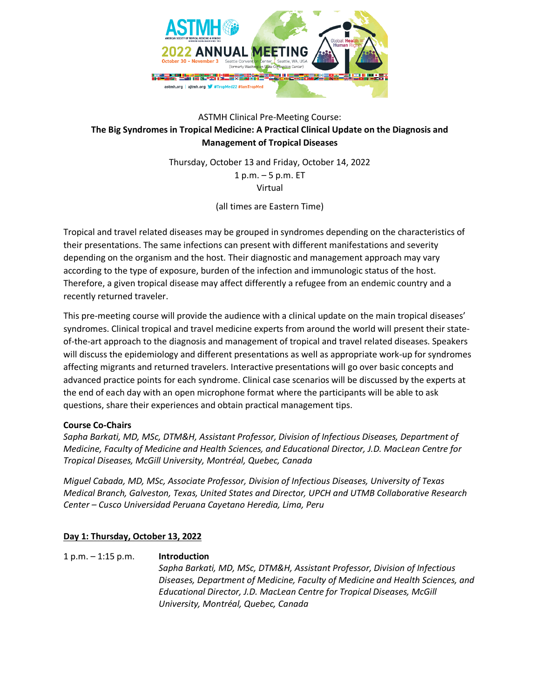

## ASTMH Clinical Pre-Meeting Course: **The Big Syndromes in Tropical Medicine: A Practical Clinical Update on the Diagnosis and Management of Tropical Diseases**

Thursday, October 13 and Friday, October 14, 2022 1 p.m. – 5 p.m. ET Virtual

(all times are Eastern Time)

Tropical and travel related diseases may be grouped in syndromes depending on the characteristics of their presentations. The same infections can present with different manifestations and severity depending on the organism and the host. Their diagnostic and management approach may vary according to the type of exposure, burden of the infection and immunologic status of the host. Therefore, a given tropical disease may affect differently a refugee from an endemic country and a recently returned traveler.

This pre-meeting course will provide the audience with a clinical update on the main tropical diseases' syndromes. Clinical tropical and travel medicine experts from around the world will present their stateof-the-art approach to the diagnosis and management of tropical and travel related diseases. Speakers will discuss the epidemiology and different presentations as well as appropriate work-up for syndromes affecting migrants and returned travelers. Interactive presentations will go over basic concepts and advanced practice points for each syndrome. Clinical case scenarios will be discussed by the experts at the end of each day with an open microphone format where the participants will be able to ask questions, share their experiences and obtain practical management tips.

## **Course Co-Chairs**

*Sapha Barkati, MD, MSc, DTM&H, Assistant Professor, Division of Infectious Diseases, Department of Medicine, Faculty of Medicine and Health Sciences, and Educational Director, J.D. MacLean Centre for Tropical Diseases, McGill University, Montréal, Quebec, Canada*

*Miguel Cabada, MD, MSc, Associate Professor, Division of Infectious Diseases, University of Texas Medical Branch, Galveston, Texas, United States and Director, UPCH and UTMB Collaborative Research Center – Cusco Universidad Peruana Cayetano Heredia, Lima, Peru*

## **Day 1: Thursday, October 13, 2022**

1 p.m. – 1:15 p.m. **Introduction** *Sapha Barkati, MD, MSc, DTM&H, Assistant Professor, Division of Infectious Diseases, Department of Medicine, Faculty of Medicine and Health Sciences, and Educational Director, J.D. MacLean Centre for Tropical Diseases, McGill University, Montréal, Quebec, Canada*